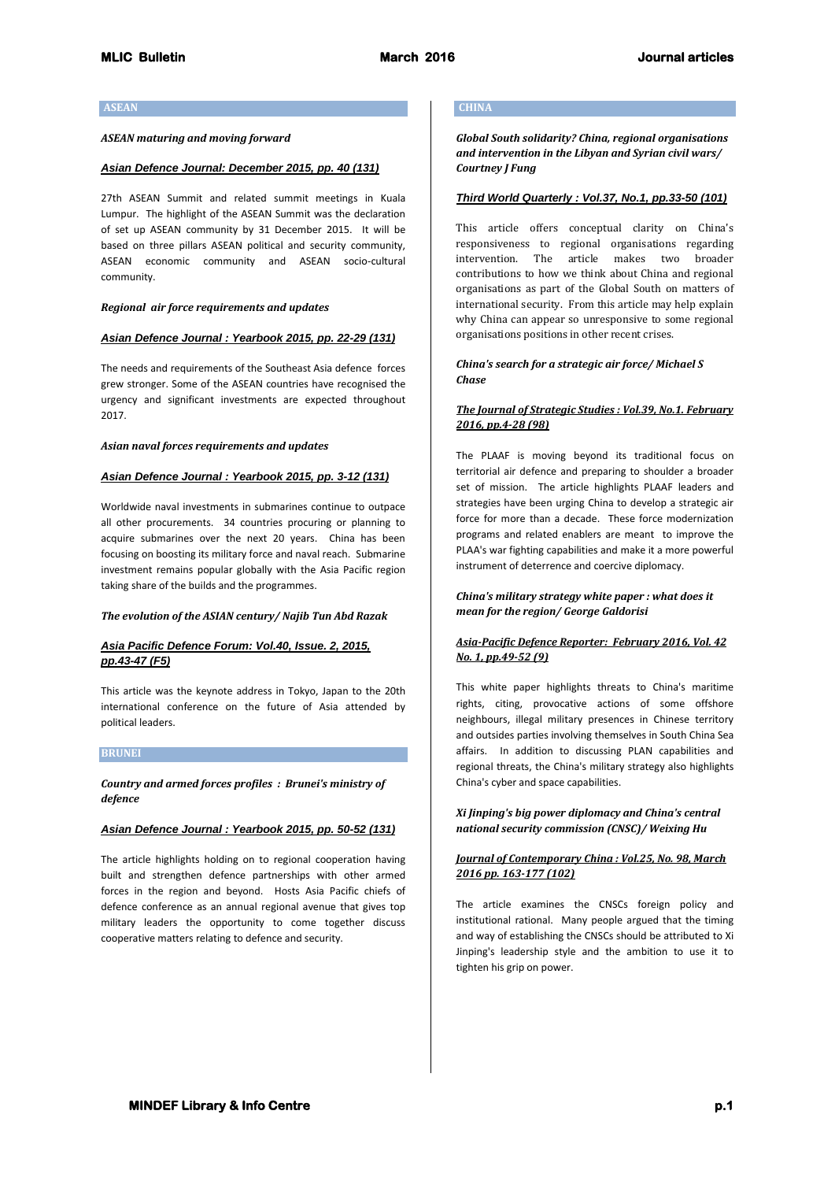### **ASEAN**

### *ASEAN maturing and moving forward*

#### *Asian Defence Journal: December 2015, pp. 40 (131)*

27th ASEAN Summit and related summit meetings in Kuala Lumpur. The highlight of the ASEAN Summit was the declaration of set up ASEAN community by 31 December 2015. It will be based on three pillars ASEAN political and security community, ASEAN economic community and ASEAN socio-cultural community.

### *Regional air force requirements and updates*

#### *Asian Defence Journal : Yearbook 2015, pp. 22-29 (131)*

The needs and requirements of the Southeast Asia defence forces grew stronger. Some of the ASEAN countries have recognised the urgency and significant investments are expected throughout 2017.

## *Asian naval forces requirements and updates*

#### *Asian Defence Journal : Yearbook 2015, pp. 3-12 (131)*

Worldwide naval investments in submarines continue to outpace all other procurements. 34 countries procuring or planning to acquire submarines over the next 20 years. China has been focusing on boosting its military force and naval reach. Submarine investment remains popular globally with the Asia Pacific region taking share of the builds and the programmes.

### *The evolution of the ASIAN century/ Najib Tun Abd Razak*

### *Asia Pacific Defence Forum: Vol.40, Issue. 2, 2015, pp.43-47 (F5)*

This article was the keynote address in Tokyo, Japan to the 20th international conference on the future of Asia attended by political leaders.

#### **BRUNEI**

## *Country and armed forces profiles : Brunei's ministry of defence*

### *Asian Defence Journal : Yearbook 2015, pp. 50-52 (131)*

The article highlights holding on to regional cooperation having built and strengthen defence partnerships with other armed forces in the region and beyond. Hosts Asia Pacific chiefs of defence conference as an annual regional avenue that gives top military leaders the opportunity to come together discuss cooperative matters relating to defence and security.

#### **CHINA**

*Global South solidarity? China, regional organisations and intervention in the Libyan and Syrian civil wars/ Courtney J Fung*

# *Third World Quarterly : Vol.37, No.1, pp.33-50 (101)*

This article offers conceptual clarity on China's responsiveness to regional organisations regarding intervention. The article makes two broader contributions to how we think about China and regional organisations as part of the Global South on matters of international security. From this article may help explain why China can appear so unresponsive to some regional organisations positions in other recent crises.

## *China's search for a strategic air force/ Michael S Chase*

## *The Journal of Strategic Studies : Vol.39, No.1. February 2016, pp.4-28 (98)*

The PLAAF is moving beyond its traditional focus on territorial air defence and preparing to shoulder a broader set of mission. The article highlights PLAAF leaders and strategies have been urging China to develop a strategic air force for more than a decade. These force modernization programs and related enablers are meant to improve the PLAA's war fighting capabilities and make it a more powerful instrument of deterrence and coercive diplomacy.

### *China's military strategy white paper : what does it mean for the region/ George Galdorisi*

## *Asia-Pacific Defence Reporter: February 2016, Vol. 42 No. 1, pp.49-52 (9)*

This white paper highlights threats to China's maritime rights, citing, provocative actions of some offshore neighbours, illegal military presences in Chinese territory and outsides parties involving themselves in South China Sea affairs. In addition to discussing PLAN capabilities and regional threats, the China's military strategy also highlights China's cyber and space capabilities.

### *Xi Jinping's big power diplomacy and China's central national security commission (CNSC)/ Weixing Hu*

### *Journal of Contemporary China : Vol.25, No. 98, March 2016 pp. 163-177 (102)*

The article examines the CNSCs foreign policy and institutional rational. Many people argued that the timing and way of establishing the CNSCs should be attributed to Xi Jinping's leadership style and the ambition to use it to tighten his grip on power.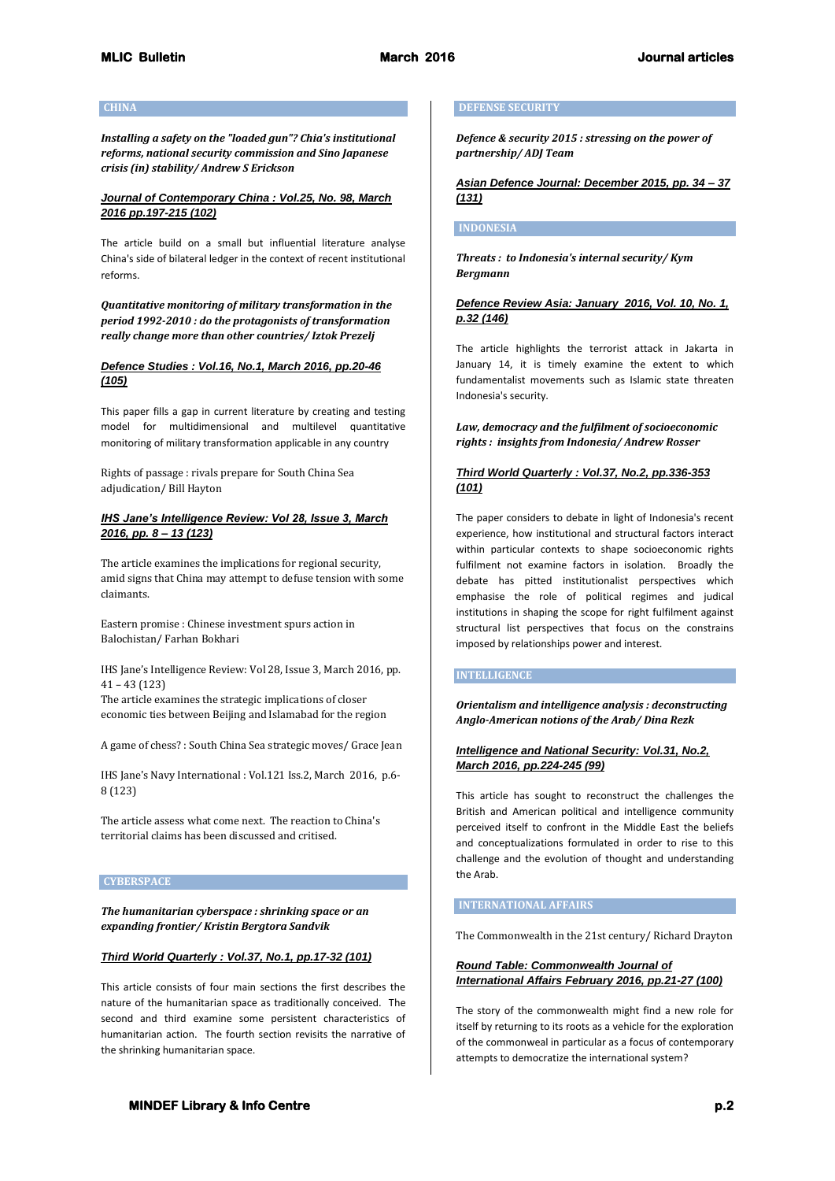#### **CHINA**

*Installing a safety on the "loaded gun"? Chia's institutional reforms, national security commission and Sino Japanese crisis (in) stability/ Andrew S Erickson*

# *Journal of Contemporary China : Vol.25, No. 98, March 2016 pp.197-215 (102)*

The article build on a small but influential literature analyse China's side of bilateral ledger in the context of recent institutional reforms.

*Quantitative monitoring of military transformation in the period 1992-2010 : do the protagonists of transformation really change more than other countries/ Iztok Prezelj*

# *Defence Studies : Vol.16, No.1, March 2016, pp.20-46 (105)*

This paper fills a gap in current literature by creating and testing model for multidimensional and multilevel quantitative monitoring of military transformation applicable in any country

Rights of passage : rivals prepare for South China Sea adjudication/ Bill Hayton

## *IHS Jane's Intelligence Review: Vol 28, Issue 3, March 2016, pp. 8 – 13 (123)*

The article examines the implications for regional security, amid signs that China may attempt to defuse tension with some claimants.

Eastern promise : Chinese investment spurs action in Balochistan/ Farhan Bokhari

IHS Jane's Intelligence Review: Vol 28, Issue 3, March 2016, pp. 41 – 43 (123)

The article examines the strategic implications of closer economic ties between Beijing and Islamabad for the region

A game of chess? : South China Sea strategic moves/ Grace Jean

IHS Jane's Navy International : Vol.121 Iss.2, March 2016, p.6- 8 (123)

The article assess what come next. The reaction to China's territorial claims has been discussed and critised.

### **CYBERSPACE**

*The humanitarian cyberspace : shrinking space or an expanding frontier/ Kristin Bergtora Sandvik*

# *Third World Quarterly : Vol.37, No.1, pp.17-32 (101)*

This article consists of four main sections the first describes the nature of the humanitarian space as traditionally conceived. The second and third examine some persistent characteristics of humanitarian action. The fourth section revisits the narrative of the shrinking humanitarian space.

### **DEFENSE SECURITY**

*Defence & security 2015 : stressing on the power of partnership/ ADJ Team*

*Asian Defence Journal: December 2015, pp. 34 – 37 (131)*

## **INDONESIA**

*Threats : to Indonesia's internal security/ Kym Bergmann*

# *Defence Review Asia: January 2016, Vol. 10, No. 1, p.32 (146)*

The article highlights the terrorist attack in Jakarta in January 14, it is timely examine the extent to which fundamentalist movements such as Islamic state threaten Indonesia's security.

*Law, democracy and the fulfilment of socioeconomic rights : insights from Indonesia/ Andrew Rosser*

## *Third World Quarterly : Vol.37, No.2, pp.336-353 (101)*

The paper considers to debate in light of Indonesia's recent experience, how institutional and structural factors interact within particular contexts to shape socioeconomic rights fulfilment not examine factors in isolation. Broadly the debate has pitted institutionalist perspectives which emphasise the role of political regimes and judical institutions in shaping the scope for right fulfilment against structural list perspectives that focus on the constrains imposed by relationships power and interest.

### **INTELLIGENCE**

*Orientalism and intelligence analysis : deconstructing Anglo-American notions of the Arab/ Dina Rezk*

## *Intelligence and National Security: Vol.31, No.2, March 2016, pp.224-245 (99)*

This article has sought to reconstruct the challenges the British and American political and intelligence community perceived itself to confront in the Middle East the beliefs and conceptualizations formulated in order to rise to this challenge and the evolution of thought and understanding the Arab.

### **INTERNATIONAL AFFAIRS**

The Commonwealth in the 21st century/ Richard Drayton

*Round Table: Commonwealth Journal of International Affairs February 2016, pp.21-27 (100)*

The story of the commonwealth might find a new role for itself by returning to its roots as a vehicle for the exploration of the commonweal in particular as a focus of contemporary attempts to democratize the international system?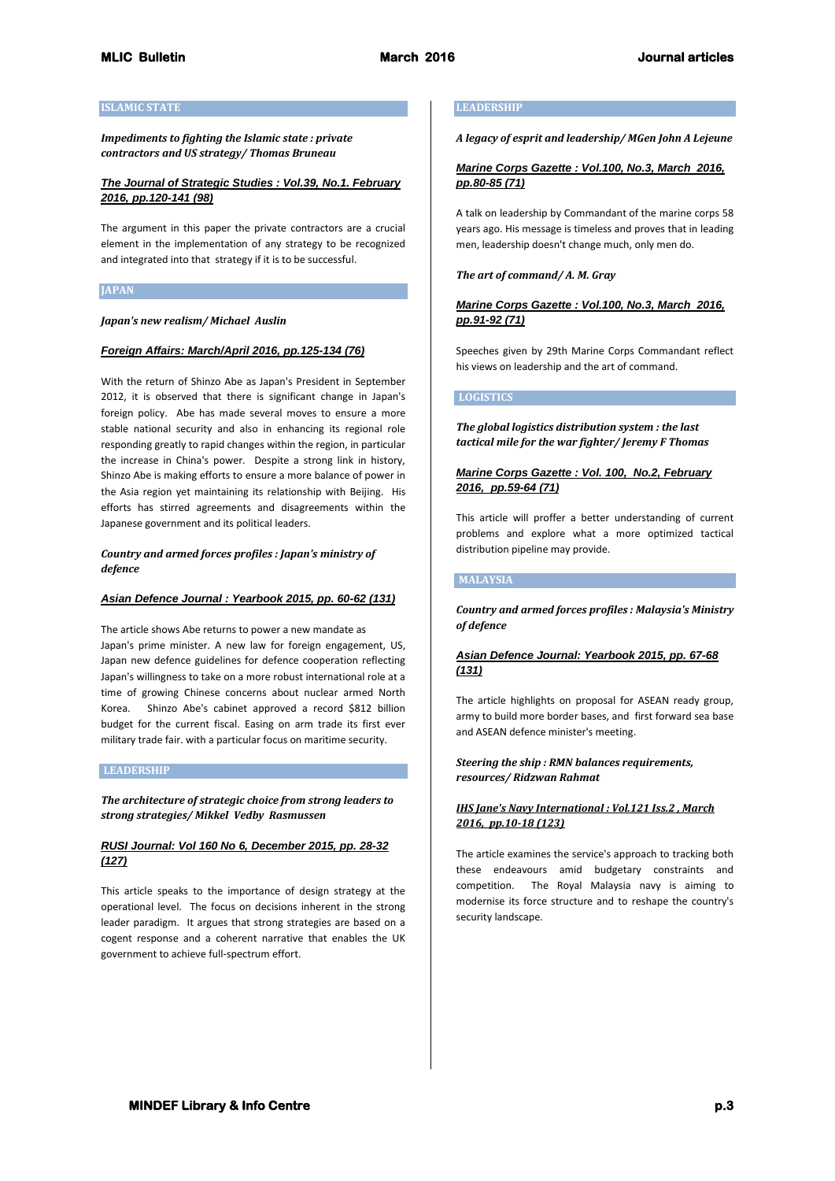## **ISLAMIC STATE**

*Impediments to fighting the Islamic state : private contractors and US strategy/ Thomas Bruneau*

# *The Journal of Strategic Studies : Vol.39, No.1. February 2016, pp.120-141 (98)*

The argument in this paper the private contractors are a crucial element in the implementation of any strategy to be recognized and integrated into that strategy if it is to be successful.

## **JAPAN**

## *Japan's new realism/ Michael Auslin*

## *Foreign Affairs: March/April 2016, pp.125-134 (76)*

With the return of Shinzo Abe as Japan's President in September 2012, it is observed that there is significant change in Japan's foreign policy. Abe has made several moves to ensure a more stable national security and also in enhancing its regional role responding greatly to rapid changes within the region, in particular the increase in China's power. Despite a strong link in history, Shinzo Abe is making efforts to ensure a more balance of power in the Asia region yet maintaining its relationship with Beijing. His efforts has stirred agreements and disagreements within the Japanese government and its political leaders.

## *Country and armed forces profiles : Japan's ministry of defence*

# *Asian Defence Journal : Yearbook 2015, pp. 60-62 (131)*

The article shows Abe returns to power a new mandate as Japan's prime minister. A new law for foreign engagement, US, Japan new defence guidelines for defence cooperation reflecting Japan's willingness to take on a more robust international role at a time of growing Chinese concerns about nuclear armed North Korea. Shinzo Abe's cabinet approved a record \$812 billion budget for the current fiscal. Easing on arm trade its first ever military trade fair. with a particular focus on maritime security.

### **LEADERSHIP**

*The architecture of strategic choice from strong leaders to strong strategies/ Mikkel Vedby Rasmussen*

# *RUSI Journal: Vol 160 No 6, December 2015, pp. 28-32 (127)*

This article speaks to the importance of design strategy at the operational level. The focus on decisions inherent in the strong leader paradigm. It argues that strong strategies are based on a cogent response and a coherent narrative that enables the UK government to achieve full-spectrum effort.

### **LEADERSHIP**

*A legacy of esprit and leadership/ MGen John A Lejeune*

## *Marine Corps Gazette : Vol.100, No.3, March 2016, pp.80-85 (71)*

A talk on leadership by Commandant of the marine corps 58 years ago. His message is timeless and proves that in leading men, leadership doesn't change much, only men do.

### *The art of command/ A. M. Gray*

# *Marine Corps Gazette : Vol.100, No.3, March 2016, pp.91-92 (71)*

Speeches given by 29th Marine Corps Commandant reflect his views on leadership and the art of command.

### **LOGISTICS**

*The global logistics distribution system : the last tactical mile for the war fighter/ Jeremy F Thomas*

## *Marine Corps Gazette : Vol. 100, No.2, February 2016, pp.59-64 (71)*

This article will proffer a better understanding of current problems and explore what a more optimized tactical distribution pipeline may provide.

# **MALAYSIA**

*Country and armed forces profiles : Malaysia's Ministry of defence*

# *Asian Defence Journal: Yearbook 2015, pp. 67-68 (131)*

The article highlights on proposal for ASEAN ready group, army to build more border bases, and first forward sea base and ASEAN defence minister's meeting.

### *Steering the ship : RMN balances requirements, resources/ Ridzwan Rahmat*

## *IHS Jane's Navy International : Vol.121 Iss.2 , March 2016, pp.10-18 (123)*

The article examines the service's approach to tracking both these endeavours amid budgetary constraints and competition. The Royal Malaysia navy is aiming to modernise its force structure and to reshape the country's security landscape.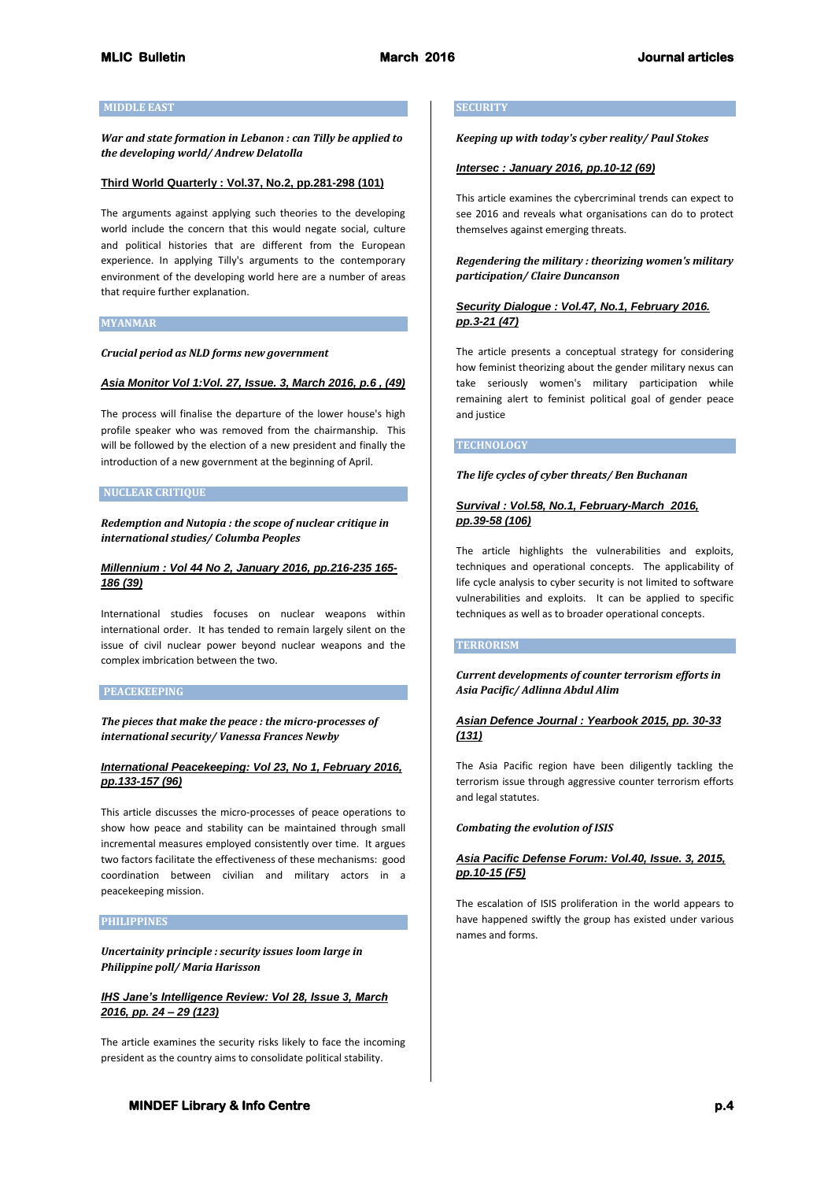## **MIDDLE EAST**

*War and state formation in Lebanon : can Tilly be applied to the developing world/ Andrew Delatolla*

#### **Third World Quarterly : Vol.37, No.2, pp.281-298 (101)**

The arguments against applying such theories to the developing world include the concern that this would negate social, culture and political histories that are different from the European experience. In applying Tilly's arguments to the contemporary environment of the developing world here are a number of areas that require further explanation.

### **MYANMAR**

*Crucial period as NLD forms new government*

### *Asia Monitor Vol 1:Vol. 27, Issue. 3, March 2016, p.6 , (49)*

The process will finalise the departure of the lower house's high profile speaker who was removed from the chairmanship. This will be followed by the election of a new president and finally the introduction of a new government at the beginning of April.

#### **NUCLEAR CRITIQUE**

*Redemption and Nutopia : the scope of nuclear critique in international studies/ Columba Peoples*

## *Millennium : Vol 44 No 2, January 2016, pp.216-235 165- 186 (39)*

International studies focuses on nuclear weapons within international order. It has tended to remain largely silent on the issue of civil nuclear power beyond nuclear weapons and the complex imbrication between the two.

#### **PEACEKEEPING**

*The pieces that make the peace : the micro-processes of international security/ Vanessa Frances Newby*

## *International Peacekeeping: Vol 23, No 1, February 2016, pp.133-157 (96)*

This article discusses the micro-processes of peace operations to show how peace and stability can be maintained through small incremental measures employed consistently over time. It argues two factors facilitate the effectiveness of these mechanisms: good coordination between civilian and military actors in a peacekeeping mission.

### **PHILIPPINES**

*Uncertainity principle : security issues loom large in Philippine poll/ Maria Harisson*

## *IHS Jane's Intelligence Review: Vol 28, Issue 3, March 2016, pp. 24 – 29 (123)*

The article examines the security risks likely to face the incoming president as the country aims to consolidate political stability.

#### **SECURITY**

*Keeping up with today's cyber reality/ Paul Stokes*

### *Intersec : January 2016, pp.10-12 (69)*

This article examines the cybercriminal trends can expect to see 2016 and reveals what organisations can do to protect themselves against emerging threats.

## *Regendering the military : theorizing women's military participation/ Claire Duncanson*

## *Security Dialogue : Vol.47, No.1, February 2016. pp.3-21 (47)*

The article presents a conceptual strategy for considering how feminist theorizing about the gender military nexus can take seriously women's military participation while remaining alert to feminist political goal of gender peace and justice

### **TECHNOLOGY**

### *The life cycles of cyber threats/ Ben Buchanan*

### *Survival : Vol.58, No.1, February-March 2016, pp.39-58 (106)*

The article highlights the vulnerabilities and exploits, techniques and operational concepts. The applicability of life cycle analysis to cyber security is not limited to software vulnerabilities and exploits. It can be applied to specific techniques as well as to broader operational concepts.

### **TERRORISM**

*Current developments of counter terrorism efforts in Asia Pacific/ Adlinna Abdul Alim*

## *Asian Defence Journal : Yearbook 2015, pp. 30-33 (131)*

The Asia Pacific region have been diligently tackling the terrorism issue through aggressive counter terrorism efforts and legal statutes.

#### *Combating the evolution of ISIS*

## *Asia Pacific Defense Forum: Vol.40, Issue. 3, 2015, pp.10-15 (F5)*

The escalation of ISIS proliferation in the world appears to have happened swiftly the group has existed under various names and forms.

# **MINDEF Library & Info Centre p.4 p.4**